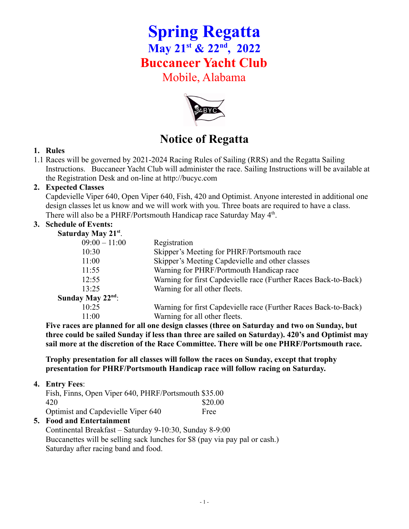# **Spring Regatta May 21st & 22nd , 2022 Buccaneer Yacht Club** Mobile, Alabama



# **Notice of Regatta**

#### **1. Rules**

1.1 Races will be governed by 2021-2024 Racing Rules of Sailing (RRS) and the Regatta Sailing Instructions. Buccaneer Yacht Club will administer the race. Sailing Instructions will be available at the Registration Desk and on-line at http://bucyc.com

### **2. Expected Classes**

Capdevielle Viper 640, Open Viper 640, Fish, 420 and Optimist. Anyone interested in additional one design classes let us know and we will work with you. Three boats are required to have a class. There will also be a PHRF/Portsmouth Handicap race Saturday May 4<sup>th</sup>.

### **3. Schedule of Events:**

|  | <b>Saturday May 21st.</b> |  |
|--|---------------------------|--|

| $D$ utul uu $\ell$ 1.14 $\ell$ = 1. |                                                                 |
|-------------------------------------|-----------------------------------------------------------------|
| $09:00 - 11:00$                     | Registration                                                    |
| 10:30                               | Skipper's Meeting for PHRF/Portsmouth race                      |
| 11:00                               | Skipper's Meeting Capdevielle and other classes                 |
| 11:55                               | Warning for PHRF/Portmouth Handicap race                        |
| 12:55                               | Warning for first Capdevielle race (Further Races Back-to-Back) |
| 13:25                               | Warning for all other fleets.                                   |
| Sunday May $22nd$ :                 |                                                                 |
| 10:25                               | Warning for first Capdevielle race (Further Races Back-to-Back) |
| 11:00                               | Warning for all other fleets.                                   |
|                                     |                                                                 |

**Five races are planned for all one design classes (three on Saturday and two on Sunday, but three could be sailed Sunday if less than three are sailed on Saturday). 420's and Optimist may sail more at the discretion of the Race Committee. There will be one PHRF/Portsmouth race.**

**Trophy presentation for all classes will follow the races on Sunday, except that trophy presentation for PHRF/Portsmouth Handicap race will follow racing on Saturday.**

#### **4. Entry Fees**:

| Fish, Finns, Open Viper 640, PHRF/Portsmouth \$35.00 |         |
|------------------------------------------------------|---------|
| 420                                                  | \$20.00 |
| Optimist and Capdevielle Viper 640                   | Free    |

## **5. Food and Entertainment**

Continental Breakfast – Saturday 9-10:30, Sunday 8-9:00 Buccanettes will be selling sack lunches for \$8 (pay via pay pal or cash.) Saturday after racing band and food.